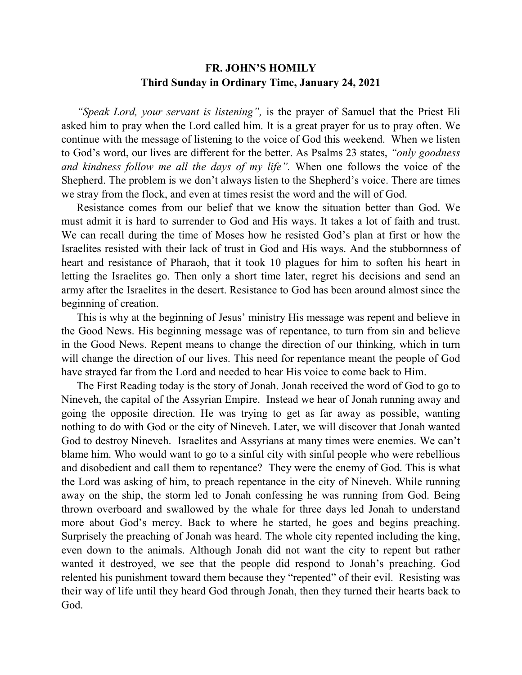## **FR. JOHN'S HOMILY Third Sunday in Ordinary Time, January 24, 2021**

*"Speak Lord, your servant is listening",* is the prayer of Samuel that the Priest Eli asked him to pray when the Lord called him. It is a great prayer for us to pray often. We continue with the message of listening to the voice of God this weekend. When we listen to God's word, our lives are different for the better. As Psalms 23 states, *"only goodness and kindness follow me all the days of my life".* When one follows the voice of the Shepherd. The problem is we don't always listen to the Shepherd's voice. There are times we stray from the flock, and even at times resist the word and the will of God.

 Resistance comes from our belief that we know the situation better than God. We must admit it is hard to surrender to God and His ways. It takes a lot of faith and trust. We can recall during the time of Moses how he resisted God's plan at first or how the Israelites resisted with their lack of trust in God and His ways. And the stubbornness of heart and resistance of Pharaoh, that it took 10 plagues for him to soften his heart in letting the Israelites go. Then only a short time later, regret his decisions and send an army after the Israelites in the desert. Resistance to God has been around almost since the beginning of creation.

 This is why at the beginning of Jesus' ministry His message was repent and believe in the Good News. His beginning message was of repentance, to turn from sin and believe in the Good News. Repent means to change the direction of our thinking, which in turn will change the direction of our lives. This need for repentance meant the people of God have strayed far from the Lord and needed to hear His voice to come back to Him.

 The First Reading today is the story of Jonah. Jonah received the word of God to go to Nineveh, the capital of the Assyrian Empire. Instead we hear of Jonah running away and going the opposite direction. He was trying to get as far away as possible, wanting nothing to do with God or the city of Nineveh. Later, we will discover that Jonah wanted God to destroy Nineveh. Israelites and Assyrians at many times were enemies. We can't blame him. Who would want to go to a sinful city with sinful people who were rebellious and disobedient and call them to repentance? They were the enemy of God. This is what the Lord was asking of him, to preach repentance in the city of Nineveh. While running away on the ship, the storm led to Jonah confessing he was running from God. Being thrown overboard and swallowed by the whale for three days led Jonah to understand more about God's mercy. Back to where he started, he goes and begins preaching. Surprisely the preaching of Jonah was heard. The whole city repented including the king, even down to the animals. Although Jonah did not want the city to repent but rather wanted it destroyed, we see that the people did respond to Jonah's preaching. God relented his punishment toward them because they "repented" of their evil. Resisting was their way of life until they heard God through Jonah, then they turned their hearts back to God.